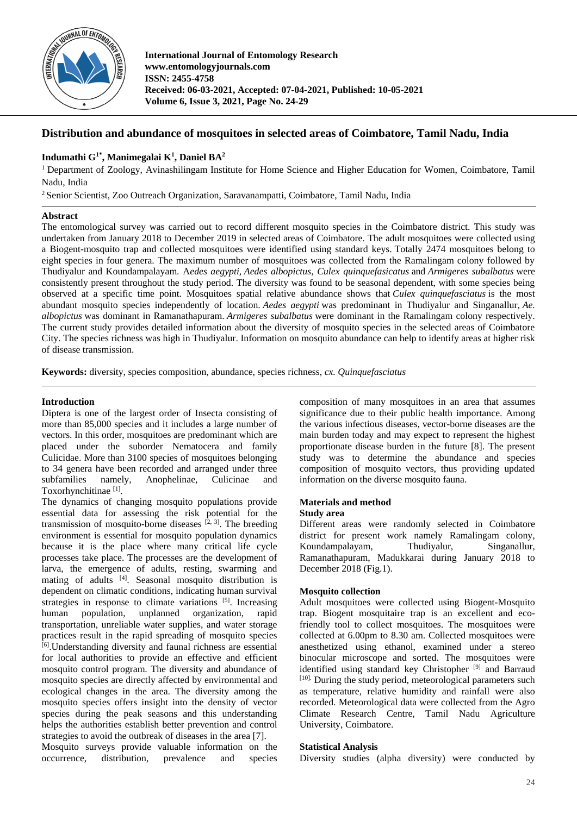

**International Journal of Entomology Research www.entomologyjournals.com ISSN: 2455-4758 Received: 06-03-2021, Accepted: 07-04-2021, Published: 10-05-2021 Volume 6, Issue 3, 2021, Page No. 24-29**

# **Distribution and abundance of mosquitoes in selected areas of Coimbatore, Tamil Nadu, India**

## **Indumathi G1\* , Manimegalai K<sup>1</sup> , Daniel BA<sup>2</sup>**

<sup>1</sup> Department of Zoology, Avinashilingam Institute for Home Science and Higher Education for Women, Coimbatore, Tamil Nadu, India

<sup>2</sup>Senior Scientist, Zoo Outreach Organization, Saravanampatti, Coimbatore, Tamil Nadu, India

### **Abstract**

The entomological survey was carried out to record different mosquito species in the Coimbatore district. This study was undertaken from January 2018 to December 2019 in selected areas of Coimbatore. The adult mosquitoes were collected using a Biogent-mosquito trap and collected mosquitoes were identified using standard keys. Totally 2474 mosquitoes belong to eight species in four genera. The maximum number of mosquitoes was collected from the Ramalingam colony followed by Thudiyalur and Koundampalayam. A*edes aegypti, Aedes albopictus, Culex quinquefasicatus* and *Armigeres subalbatus* were consistently present throughout the study period. The diversity was found to be seasonal dependent, with some species being observed at a specific time point. Mosquitoes spatial relative abundance shows that *Culex quinquefasciatus* is the most abundant mosquito species independently of location. *Aedes aegypti* was predominant in Thudiyalur and Singanallur, *Ae. albopictus* was dominant in Ramanathapuram. *Armigeres subalbatus* were dominant in the Ramalingam colony respectively. The current study provides detailed information about the diversity of mosquito species in the selected areas of Coimbatore City. The species richness was high in Thudiyalur. Information on mosquito abundance can help to identify areas at higher risk of disease transmission.

**Keywords:** diversity, species composition, abundance, species richness, *cx. Quinquefasciatus*

### **Introduction**

Diptera is one of the largest order of Insecta consisting of more than 85,000 species and it includes a large number of vectors. In this order, mosquitoes are predominant which are placed under the suborder Nematocera and family Culicidae. More than 3100 species of mosquitoes belonging to 34 genera have been recorded and arranged under three subfamilies namely, Anophelinae, Culicinae and Toxorhynchitinae<sup>[1]</sup>.

The dynamics of changing mosquito populations provide essential data for assessing the risk potential for the transmission of mosquito-borne diseases  $[2, 3]$ . The breeding environment is essential for mosquito population dynamics because it is the place where many critical life cycle processes take place. The processes are the development of larva, the emergence of adults, resting, swarming and mating of adults [4]. Seasonal mosquito distribution is dependent on climatic conditions, indicating human survival strategies in response to climate variations [5]. Increasing human population, unplanned organization, rapid transportation, unreliable water supplies, and water storage practices result in the rapid spreading of mosquito species [6] .Understanding diversity and faunal richness are essential for local authorities to provide an effective and efficient mosquito control program. The diversity and abundance of mosquito species are directly affected by environmental and ecological changes in the area. The diversity among the mosquito species offers insight into the density of vector species during the peak seasons and this understanding helps the authorities establish better prevention and control strategies to avoid the outbreak of diseases in the area [7]. Mosquito surveys provide valuable information on the occurrence, distribution, prevalence and species

composition of many mosquitoes in an area that assumes significance due to their public health importance. Among the various infectious diseases, vector-borne diseases are the main burden today and may expect to represent the highest proportionate disease burden in the future [8]. The present study was to determine the abundance and species composition of mosquito vectors, thus providing updated information on the diverse mosquito fauna.

#### **Materials and method**

#### **Study area**

Different areas were randomly selected in Coimbatore district for present work namely Ramalingam colony, Koundampalayam, Thudiyalur, Singanallur, Ramanathapuram, Madukkarai during January 2018 to December 2018 (Fig.1).

### **Mosquito collection**

Adult mosquitoes were collected using Biogent-Mosquito trap. Biogent mosquitaire trap is an excellent and ecofriendly tool to collect mosquitoes. The mosquitoes were collected at 6.00pm to 8.30 am. Collected mosquitoes were anesthetized using ethanol, examined under a stereo binocular microscope and sorted. The mosquitoes were identified using standard key Christopher [9] and Barraud [10]. During the study period, meteorological parameters such as temperature, relative humidity and rainfall were also recorded. Meteorological data were collected from the Agro Climate Research Centre, Tamil Nadu Agriculture University, Coimbatore.

### **Statistical Analysis**

Diversity studies (alpha diversity) were conducted by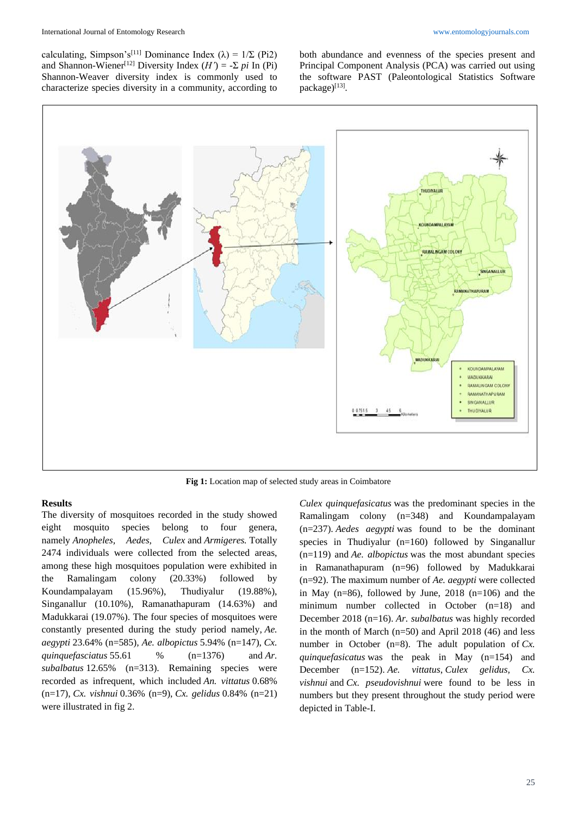calculating, Simpson's<sup>[11]</sup> Dominance Index ( $\lambda$ ) = 1/Σ (Pi2) and Shannon-Wiener<sup>[12]</sup> Diversity Index  $(H') = -\sum pi \ln(Pi)$ Shannon-Weaver diversity index is commonly used to characterize species diversity in a community, according to both abundance and evenness of the species present and Principal Component Analysis (PCA) was carried out using the software PAST (Paleontological Statistics Software package)[13].



**Fig 1:** Location map of selected study areas in Coimbatore

### **Results**

The diversity of mosquitoes recorded in the study showed eight mosquito species belong to four genera, namely *Anopheles, Aedes, Culex* and *Armigeres.* Totally 2474 individuals were collected from the selected areas, among these high mosquitoes population were exhibited in the Ramalingam colony (20.33%) followed by Koundampalayam (15.96%), Thudiyalur (19.88%), Singanallur (10.10%), Ramanathapuram (14.63%) and Madukkarai (19.07%). The four species of mosquitoes were constantly presented during the study period namely, *Ae. aegypti* 23.64% (n=585)*, Ae. albopictus* 5.94% (n=147), *Cx. quinquefasciatus* 55.61 % (n=1376) and *Ar. subalbatus* 12.65% (n=313). Remaining species were recorded as infrequent, which included *An. vittatus* 0.68% (n=17), *Cx. vishnui* 0.36% (n=9), *Cx. gelidus* 0.84% (n=21) were illustrated in fig 2.

*Culex quinquefasicatus* was the predominant species in the Ramalingam colony (n=348) and Koundampalayam (n=237). *Aedes aegypti* was found to be the dominant species in Thudiyalur (n=160) followed by Singanallur (n=119) and *Ae. albopictus* was the most abundant species in Ramanathapuram (n=96) followed by Madukkarai (n=92). The maximum number of *Ae. aegypti* were collected in May (n=86), followed by June, 2018 (n=106) and the minimum number collected in October (n=18) and December 2018 (n=16). *Ar. subalbatus* was highly recorded in the month of March  $(n=50)$  and April 2018 (46) and less number in October (n=8). The adult population of *Cx*. *quinquefasicatus* was the peak in May (n=154) and December (n=152). *Ae. vittatus*, *Culex gelidus, Cx. vishnui* and *Cx. pseudovishnui* were found to be less in numbers but they present throughout the study period were depicted in Table-I.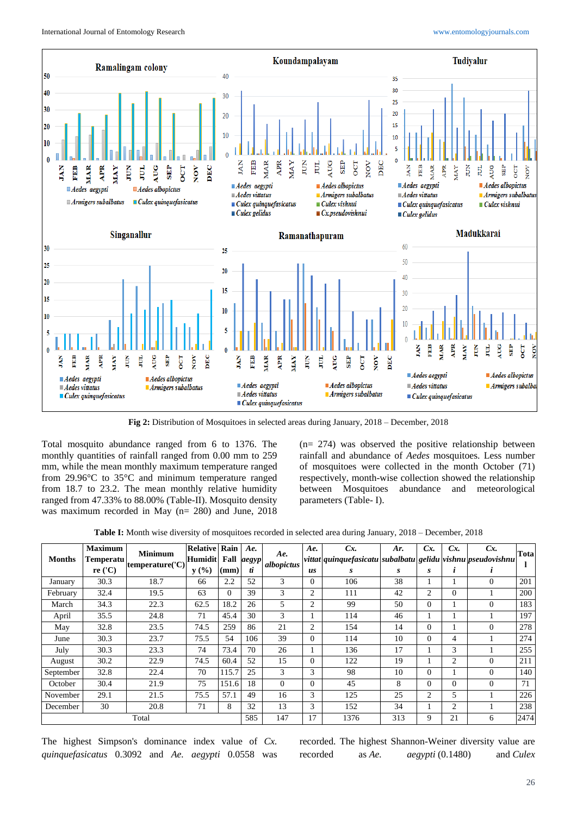

**Fig 2:** Distribution of Mosquitoes in selected areas during January, 2018 – December, 2018

Total mosquito abundance ranged from 6 to 1376. The monthly quantities of rainfall ranged from 0.00 mm to 259 mm, while the mean monthly maximum temperature ranged from 29.96°C to 35°C and minimum temperature ranged from 18.7 to 23.2. The mean monthly relative humidity ranged from 47.33% to 88.00% (Table-II). Mosquito density was maximum recorded in May (n= 280) and June, 2018

(n= 274) was observed the positive relationship between rainfall and abundance of *Aedes* mosquitoes. Less number of mosquitoes were collected in the month October (71) respectively, month-wise collection showed the relationship between Mosquitoes abundance and meteorological parameters (Table- I).

**Table I:** Month wise diversity of mosquitoes recorded in selected area during January, 2018 – December, 2018

| <b>Months</b> | <b>Maximum</b><br>Temperatu<br>re $('C)$ | <b>Minimum</b><br>temperature('C) | <b>Relative</b><br>Humidit<br>y(%) | Rain<br>Fall<br>$(\mathbf{mm})$ | Ae.<br>aegyp<br>ti | Ae.<br>albopictus | Ae.<br>us      | Cx.<br>vittat quinquefasicatu subalbatu gelidu vishnu pseudovishnu<br>S | Ar.<br>s | Cx<br>s  | Cx<br>$\mathbf{r}$ | $Cx$ .       | Tota |
|---------------|------------------------------------------|-----------------------------------|------------------------------------|---------------------------------|--------------------|-------------------|----------------|-------------------------------------------------------------------------|----------|----------|--------------------|--------------|------|
| January       | 30.3                                     | 18.7                              | 66                                 | 2.2                             | 52                 | 3                 | 0              | 106                                                                     | 38       |          |                    | $\Omega$     | 201  |
| February      | 32.4                                     | 19.5                              | 63                                 | $\overline{0}$                  | 39                 | 3                 | $\overline{c}$ | 111                                                                     | 42       | 2        | $\Omega$           |              | 200  |
| March         | 34.3                                     | 22.3                              | 62.5                               | 18.2                            | 26                 | 5                 | $\overline{c}$ | 99                                                                      | 50       | $\Omega$ |                    | $\Omega$     | 183  |
| April         | 35.5                                     | 24.8                              | 71                                 | 45.4                            | 30                 | 3                 |                | 114                                                                     | 46       |          |                    |              | 197  |
| May           | 32.8                                     | 23.5                              | 74.5                               | 259                             | 86                 | 21                | $\overline{c}$ | 154                                                                     | 14       | $\Omega$ |                    | $\mathbf{0}$ | 278  |
| June          | 30.3                                     | 23.7                              | 75.5                               | 54                              | 106                | 39                | $\Omega$       | 114                                                                     | 10       | $\Omega$ | 4                  |              | 274  |
| July          | 30.3                                     | 23.3                              | 74                                 | 73.4                            | 70                 | 26                |                | 136                                                                     | 17       |          | 3                  |              | 255  |
| August        | 30.2                                     | 22.9                              | 74.5                               | 60.4                            | 52                 | 15                | $\Omega$       | 122                                                                     | 19       |          | $\overline{c}$     | $\Omega$     | 211  |
| September     | 32.8                                     | 22.4                              | 70                                 | 115.7                           | 25                 | 3                 | 3              | 98                                                                      | 10       | $\theta$ |                    | $\Omega$     | 140  |
| October       | 30.4                                     | 21.9                              | 75                                 | 151.6                           | 18                 | $\Omega$          | $\Omega$       | 45                                                                      | 8        | $\Omega$ | $\Omega$           | $\Omega$     | 71   |
| November      | 29.1                                     | 21.5                              | 75.5                               | 57.1                            | 49                 | 16                | 3              | 125                                                                     | 25       | 2        | 5                  |              | 226  |
| December      | 30                                       | 20.8                              | 71                                 | 8                               | 32                 | 13                | 3              | 152                                                                     | 34       |          | $\overline{c}$     |              | 238  |
| Total         |                                          |                                   |                                    | 585                             | 147                | 17                | 1376           | 313                                                                     | 9        | 21       | 6                  | 2474         |      |

The highest Simpson's dominance index value of *Cx. quinquefasicatus* 0.3092 and *Ae. aegypti* 0.0558 was recorded. The highest Shannon-Weiner diversity value are recorded as *Ae. aegypti* (0.1480) and *Culex*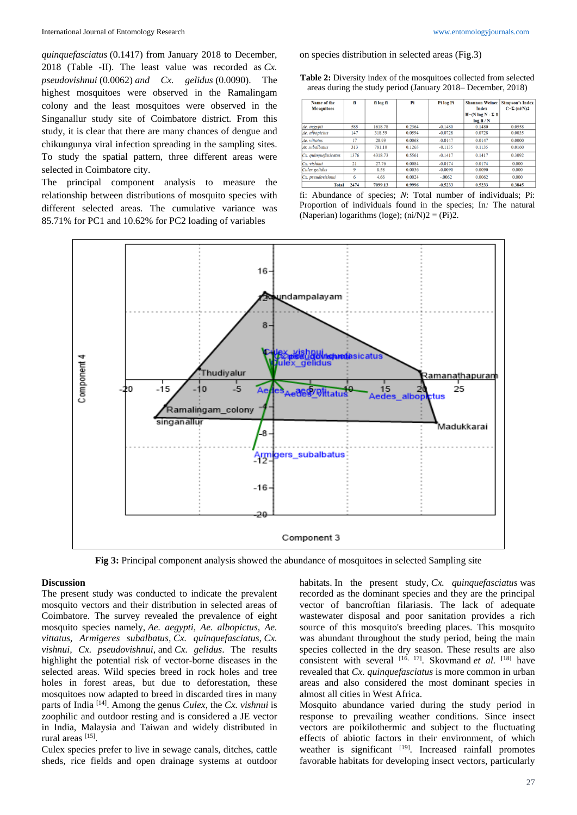*quinquefasciatus* (0.1417) from January 2018 to December, 2018 (Table -II). The least value was recorded as *Cx. pseudovishnui* (0.0062) *and Cx. gelidus* (0.0090). The highest mosquitoes were observed in the Ramalingam colony and the least mosquitoes were observed in the Singanallur study site of Coimbatore district. From this study, it is clear that there are many chances of dengue and chikungunya viral infection spreading in the sampling sites. To study the spatial pattern, three different areas were selected in Coimbatore city.

The principal component analysis to measure the relationship between distributions of mosquito species with different selected areas. The cumulative variance was 85.71% for PC1 and 10.62% for PC2 loading of variables

on species distribution in selected areas (Fig.3)

**Table 2:** Diversity index of the mosquitoes collected from selected areas during the study period (January 2018– December, 2018)

| Name of the<br><b>Mosquitoes</b> | fi   | fi log fi | Pi     | Pi log Pi | <b>Shannon Weiner</b><br><b>Index</b><br>$H = (N \log N - \Sigma f)$<br>log fi/N | <b>Simpson's Index</b><br>$C=\Sigma$ (ni/N)2 |
|----------------------------------|------|-----------|--------|-----------|----------------------------------------------------------------------------------|----------------------------------------------|
| Ae. aegypti                      | 585  | 1618.78   | 0.2364 | $-0.1480$ | 0.1480                                                                           | 0.0558                                       |
| Ae, albopictus                   | 147  | 318.59    | 0.0594 | $-0.0728$ | 0.0728                                                                           | 0.0035                                       |
| Ae. vittatus                     | 17   | 20.93     | 0.0068 | $-0.0147$ | 0.0147                                                                           | 0.0000                                       |
| Ar. subalbatus                   | 313  | 781.10    | 0.1265 | $-0.1135$ | 0.1135                                                                           | 0.0160                                       |
| Cx. quinquefasicatus             | 1376 | 4318.73   | 0.5561 | $-0.1417$ | 0.1417                                                                           | 0.3092                                       |
| Cx. vishmui                      | 21   | 27.76     | 0.0084 | $-0.0174$ | 0.0174                                                                           | 0.000                                        |
| Culex gelidus                    | 9    | 8.58      | 0.0036 | $-0.0090$ | 0.0090                                                                           | 0.000                                        |
| Cx. pseudovishmui                | 6    | 4.66      | 0.0024 | $-.0062$  | 0.0062                                                                           | 0.000                                        |
| <b>Total</b>                     | 2474 | 7099.13   | 0.9996 | $-0.5233$ | 0.5233                                                                           | 0.3845                                       |

fi: Abundance of species; *N*: Total number of individuals; Pi: Proportion of individuals found in the species; In*:* The natural (Naperian) logarithms (loge);  $(ni/N)2 = (Pi)2$ .



**Fig 3:** Principal component analysis showed the abundance of mosquitoes in selected Sampling site

#### **Discussion**

The present study was conducted to indicate the prevalent mosquito vectors and their distribution in selected areas of Coimbatore. The survey revealed the prevalence of eight mosquito species namely, *Ae. aegypti, Ae. albopictus, Ae. vittatus, Armigeres subalbatus, Cx. quinquefasciatus*, *Cx. vishnui, Cx. pseudovishnui,* and *Cx. gelidus*. The results highlight the potential risk of vector-borne diseases in the selected areas. Wild species breed in rock holes and tree holes in forest areas, but due to deforestation, these mosquitoes now adapted to breed in discarded tires in many parts of India [14]. Among the genus *Culex*, the *Cx. vishnui* is zoophilic and outdoor resting and is considered a JE vector in India, Malaysia and Taiwan and widely distributed in rural areas [15].

Culex species prefer to live in sewage canals, ditches, cattle sheds, rice fields and open drainage systems at outdoor habitats. In the present study, *Cx. quinquefasciatus* was recorded as the dominant species and they are the principal vector of bancroftian filariasis. The lack of adequate wastewater disposal and poor sanitation provides a rich source of this mosquito's breeding places. This mosquito was abundant throughout the study period, being the main species collected in the dry season. These results are also consistent with several [16, 17]. Skovmand *et al.* [18] have revealed that *Cx. quinquefasciatus* is more common in urban areas and also considered the most dominant species in almost all cities in West Africa.

Mosquito abundance varied during the study period in response to prevailing weather conditions. Since insect vectors are poikilothermic and subject to the fluctuating effects of abiotic factors in their environment, of which weather is significant <sup>[19]</sup>. Increased rainfall promotes favorable habitats for developing insect vectors, particularly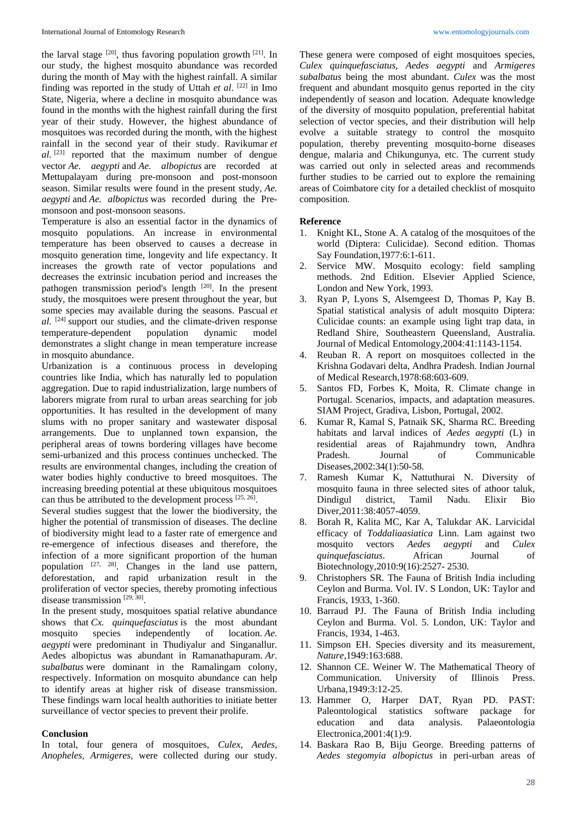the larval stage <sup>[20]</sup>, thus favoring population growth <sup>[21]</sup>. In our study, the highest mosquito abundance was recorded during the month of May with the highest rainfall. A similar finding was reported in the study of Uttah *et al*. [22] in Imo State, Nigeria, where a decline in mosquito abundance was found in the months with the highest rainfall during the first year of their study. However, the highest abundance of mosquitoes was recorded during the month, with the highest rainfall in the second year of their study. Ravikumar *et al.* [23] reported that the maximum number of dengue vector *Ae. aegypti* and *Ae. albopictus* are recorded at Mettupalayam during pre-monsoon and post-monsoon season. Similar results were found in the present study, *Ae. aegypti* and *Ae. albopictus* was recorded during the Premonsoon and post-monsoon seasons.

Temperature is also an essential factor in the dynamics of mosquito populations. An increase in environmental temperature has been observed to causes a decrease in mosquito generation time, longevity and life expectancy. It increases the growth rate of vector populations and decreases the extrinsic incubation period and increases the pathogen transmission period's length [20]. In the present study, the mosquitoes were present throughout the year, but some species may available during the seasons. Pascual *et al.* <sup>[24]</sup> support our studies, and the climate-driven response temperature-dependent population dynamic model temperature-dependent population dynamic model demonstrates a slight change in mean temperature increase in mosquito abundance.

Urbanization is a continuous process in developing countries like India, which has naturally led to population aggregation. Due to rapid industrialization, large numbers of laborers migrate from rural to urban areas searching for job opportunities. It has resulted in the development of many slums with no proper sanitary and wastewater disposal arrangements. Due to unplanned town expansion, the peripheral areas of towns bordering villages have become semi-urbanized and this process continues unchecked. The results are environmental changes, including the creation of water bodies highly conductive to breed mosquitoes. The increasing breeding potential at these ubiquitous mosquitoes can thus be attributed to the development process [25, 26].

Several studies suggest that the lower the biodiversity, the higher the potential of transmission of diseases. The decline of biodiversity might lead to a faster rate of emergence and re-emergence of infectious diseases and therefore, the infection of a more significant proportion of the human population [27, 28]. Changes in the land use pattern, deforestation, and rapid urbanization result in the proliferation of vector species, thereby promoting infectious disease transmission [29, 30].

In the present study, mosquitoes spatial relative abundance shows that *Cx. quinquefasciatus* is the most abundant mosquito species independently of location. *Ae. aegypti* were predominant in Thudiyalur and Singanallur. Aedes albopictus was abundant in Ramanathapuram. *Ar. subalbatus* were dominant in the Ramalingam colony, respectively. Information on mosquito abundance can help to identify areas at higher risk of disease transmission. These findings warn local health authorities to initiate better surveillance of vector species to prevent their prolife.

### **Conclusion**

In total, four genera of mosquitoes, *Culex, Aedes, Anopheles, Armigeres,* were collected during our study. These genera were composed of eight mosquitoes species, *Culex quinquefasciatus, Aedes aegypti* and *Armigeres subalbatus* being the most abundant. *Culex* was the most frequent and abundant mosquito genus reported in the city independently of season and location. Adequate knowledge of the diversity of mosquito population, preferential habitat selection of vector species, and their distribution will help evolve a suitable strategy to control the mosquito population, thereby preventing mosquito-borne diseases dengue, malaria and Chikungunya, etc. The current study was carried out only in selected areas and recommends further studies to be carried out to explore the remaining areas of Coimbatore city for a detailed checklist of mosquito composition.

### **Reference**

- 1. Knight KL, Stone A. A catalog of the mosquitoes of the world (Diptera: Culicidae). Second edition. Thomas Say Foundation,1977:6:1-611.
- 2. Service MW. Mosquito ecology: field sampling methods. 2nd Edition. Elsevier Applied Science, London and New York, 1993.
- 3. Ryan P, Lyons S, Alsemgeest D, Thomas P, Kay B. Spatial statistical analysis of adult mosquito Diptera: Culicidae counts: an example using light trap data, in Redland Shire, Southeastern Queensland, Australia. Journal of Medical Entomology,2004:41:1143-1154.
- 4. Reuban R. A report on mosquitoes collected in the Krishna Godavari delta, Andhra Pradesh. Indian Journal of Medical Research,1978:68:603-609.
- 5. Santos FD, Forbes K, Moita, R. Climate change in Portugal. Scenarios, impacts, and adaptation measures. SIAM Project, Gradiva, Lisbon, Portugal, 2002.
- 6. Kumar R, Kamal S, Patnaik SK, Sharma RC. Breeding habitats and larval indices of *Aedes aegypti* (L) in residential areas of Rajahmundry town, Andhra Pradesh. Journal of Communicable Diseases,2002:34(1):50-58.
- 7. Ramesh Kumar K, Nattuthurai N. Diversity of mosquito fauna in three selected sites of athoor taluk, Dindigul district, Tamil Nadu. Elixir Bio Diver,2011:38:4057-4059.
- 8. Borah R, Kalita MC, Kar A, Talukdar AK. Larvicidal efficacy of *Toddaliaasiatica* Linn. Lam against two mosquito vectors *Aedes aegypti* and *Culex quinquefasciatus*. African Journal of Biotechnology,2010:9(16):2527- 2530.
- 9. Christophers SR. The Fauna of British India including Ceylon and Burma. Vol. IV. S London, UK: Taylor and Francis, 1933, 1-360.
- 10. Barraud PJ. The Fauna of British India including Ceylon and Burma. Vol. 5. London, UK: Taylor and Francis, 1934, 1-463.
- 11. Simpson EH. Species diversity and its measurement, *Nature*,1949:163:688.
- 12. Shannon CE. Weiner W. The Mathematical Theory of Communication. University of Illinois Press. Urbana,1949:3:12-25.
- 13. Hammer O, Harper DAT, Ryan PD. PAST: Paleontological statistics software package for education and data analysis. Palaeontologia Electronica,2001:4(1):9.
- 14. Baskara Rao B, Biju George. Breeding patterns of *Aedes stegomyia albopictus* in peri-urban areas of